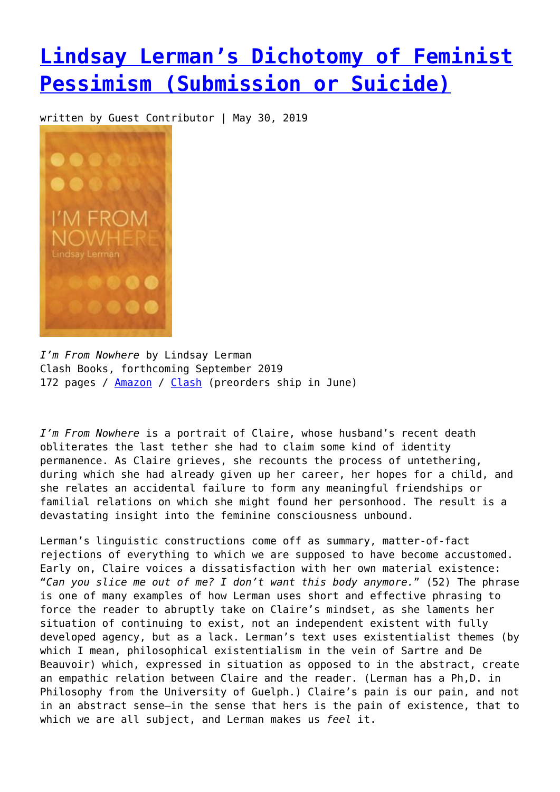## **[Lindsay Lerman's Dichotomy of Feminist](https://entropymag.org/lindsay-lermans-dichotomy-of-feminist-pessimism/) [Pessimism \(Submission or Suicide\)](https://entropymag.org/lindsay-lermans-dichotomy-of-feminist-pessimism/)**

written by Guest Contributor | May 30, 2019



*I'm From Nowhere* by Lindsay Lerman Clash Books, forthcoming September 2019 172 pages / [Amazon](https://amzn.to/2QczZgM) / [Clash](https://www.clashbooks.com/new-products-2/lindsay-lerman-im-from-nowhere-preorder) (preorders ship in June)

*I'm From Nowhere* is a portrait of Claire, whose husband's recent death obliterates the last tether she had to claim some kind of identity permanence. As Claire grieves, she recounts the process of untethering, during which she had already given up her career, her hopes for a child, and she relates an accidental failure to form any meaningful friendships or familial relations on which she might found her personhood. The result is a devastating insight into the feminine consciousness unbound.

Lerman's linguistic constructions come off as summary, matter-of-fact rejections of everything to which we are supposed to have become accustomed. Early on, Claire voices a dissatisfaction with her own material existence: "*Can you slice me out of me? I don't want this body anymore.*" (52) The phrase is one of many examples of how Lerman uses short and effective phrasing to force the reader to abruptly take on Claire's mindset, as she laments her situation of continuing to exist, not an independent existent with fully developed agency, but as a lack. Lerman's text uses existentialist themes (by which I mean, philosophical existentialism in the vein of Sartre and De Beauvoir) which, expressed in situation as opposed to in the abstract, create an empathic relation between Claire and the reader. (Lerman has a Ph,D. in Philosophy from the University of Guelph.) Claire's pain is our pain, and not in an abstract sense—in the sense that hers is the pain of existence, that to which we are all subject, and Lerman makes us *feel* it.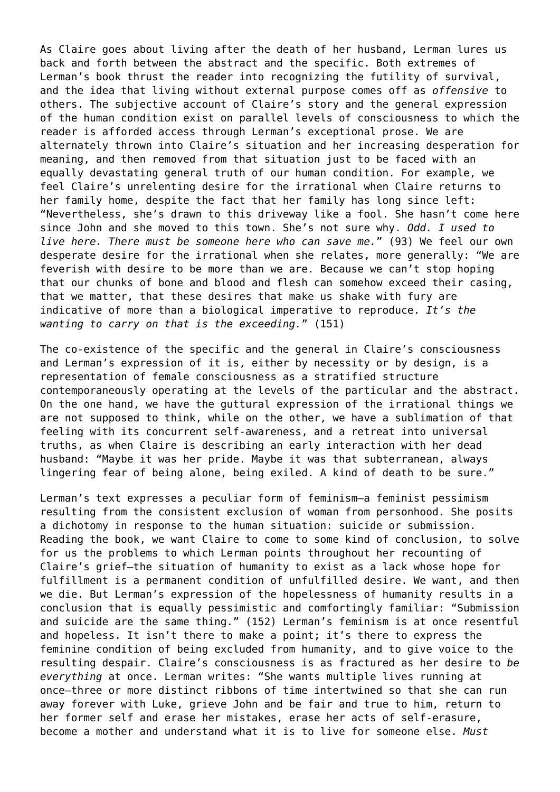As Claire goes about living after the death of her husband, Lerman lures us back and forth between the abstract and the specific. Both extremes of Lerman's book thrust the reader into recognizing the futility of survival, and the idea that living without external purpose comes off as *offensive* to others. The subjective account of Claire's story and the general expression of the human condition exist on parallel levels of consciousness to which the reader is afforded access through Lerman's exceptional prose. We are alternately thrown into Claire's situation and her increasing desperation for meaning, and then removed from that situation just to be faced with an equally devastating general truth of our human condition. For example, we feel Claire's unrelenting desire for the irrational when Claire returns to her family home, despite the fact that her family has long since left: "Nevertheless, she's drawn to this driveway like a fool. She hasn't come here since John and she moved to this town. She's not sure why. *Odd. I used to live here. There must be someone here who can save me.*" (93) We feel our own desperate desire for the irrational when she relates, more generally: "We are feverish with desire to be more than we are. Because we can't stop hoping that our chunks of bone and blood and flesh can somehow exceed their casing, that we matter, that these desires that make us shake with fury are indicative of more than a biological imperative to reproduce. *It's the wanting to carry on that is the exceeding.*" (151)

The co-existence of the specific and the general in Claire's consciousness and Lerman's expression of it is, either by necessity or by design, is a representation of female consciousness as a stratified structure contemporaneously operating at the levels of the particular and the abstract. On the one hand, we have the guttural expression of the irrational things we are not supposed to think, while on the other, we have a sublimation of that feeling with its concurrent self-awareness, and a retreat into universal truths, as when Claire is describing an early interaction with her dead husband: "Maybe it was her pride. Maybe it was that subterranean, always lingering fear of being alone, being exiled. A kind of death to be sure."

Lerman's text expresses a peculiar form of feminism—a feminist pessimism resulting from the consistent exclusion of woman from personhood. She posits a dichotomy in response to the human situation: suicide or submission. Reading the book, we want Claire to come to some kind of conclusion, to solve for us the problems to which Lerman points throughout her recounting of Claire's grief—the situation of humanity to exist as a lack whose hope for fulfillment is a permanent condition of unfulfilled desire. We want, and then we die. But Lerman's expression of the hopelessness of humanity results in a conclusion that is equally pessimistic and comfortingly familiar: "Submission and suicide are the same thing." (152) Lerman's feminism is at once resentful and hopeless. It isn't there to make a point; it's there to express the feminine condition of being excluded from humanity, and to give voice to the resulting despair. Claire's consciousness is as fractured as her desire to *be everything* at once. Lerman writes: "She wants multiple lives running at once—three or more distinct ribbons of time intertwined so that she can run away forever with Luke, grieve John and be fair and true to him, return to her former self and erase her mistakes, erase her acts of self-erasure, become a mother and understand what it is to live for someone else. *Must*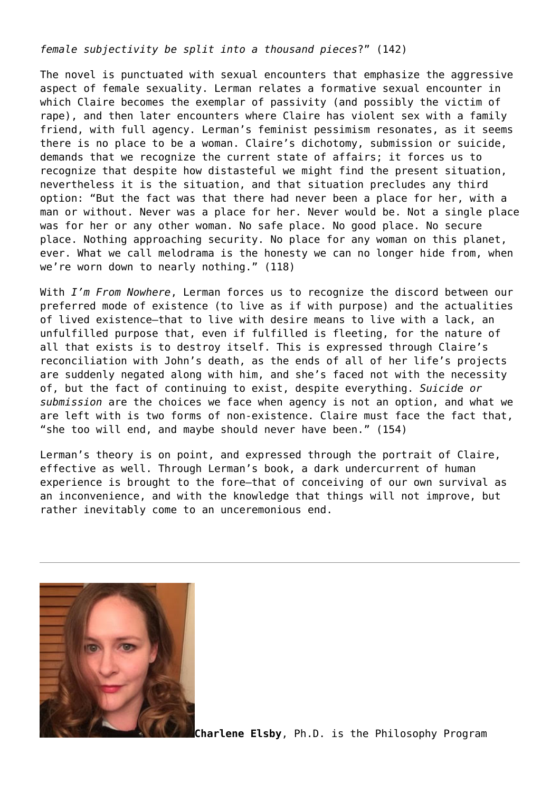*female subjectivity be split into a thousand pieces*?" (142)

The novel is punctuated with sexual encounters that emphasize the aggressive aspect of female sexuality. Lerman relates a formative sexual encounter in which Claire becomes the exemplar of passivity (and possibly the victim of rape), and then later encounters where Claire has violent sex with a family friend, with full agency. Lerman's feminist pessimism resonates, as it seems there is no place to be a woman. Claire's dichotomy, submission or suicide, demands that we recognize the current state of affairs; it forces us to recognize that despite how distasteful we might find the present situation, nevertheless it is the situation, and that situation precludes any third option: "But the fact was that there had never been a place for her, with a man or without. Never was a place for her. Never would be. Not a single place was for her or any other woman. No safe place. No good place. No secure place. Nothing approaching security. No place for any woman on this planet, ever. What we call melodrama is the honesty we can no longer hide from, when we're worn down to nearly nothing." (118)

With *I'm From Nowhere*, Lerman forces us to recognize the discord between our preferred mode of existence (to live as if with purpose) and the actualities of lived existence—that to live with desire means to live with a lack, an unfulfilled purpose that, even if fulfilled is fleeting, for the nature of all that exists is to destroy itself. This is expressed through Claire's reconciliation with John's death, as the ends of all of her life's projects are suddenly negated along with him, and she's faced not with the necessity of, but the fact of continuing to exist, despite everything. *Suicide or submission* are the choices we face when agency is not an option, and what we are left with is two forms of non-existence. Claire must face the fact that, "she too will end, and maybe should never have been." (154)

Lerman's theory is on point, and expressed through the portrait of Claire, effective as well. Through Lerman's book, a dark undercurrent of human experience is brought to the fore—that of conceiving of our own survival as an inconvenience, and with the knowledge that things will not improve, but rather inevitably come to an unceremonious end.